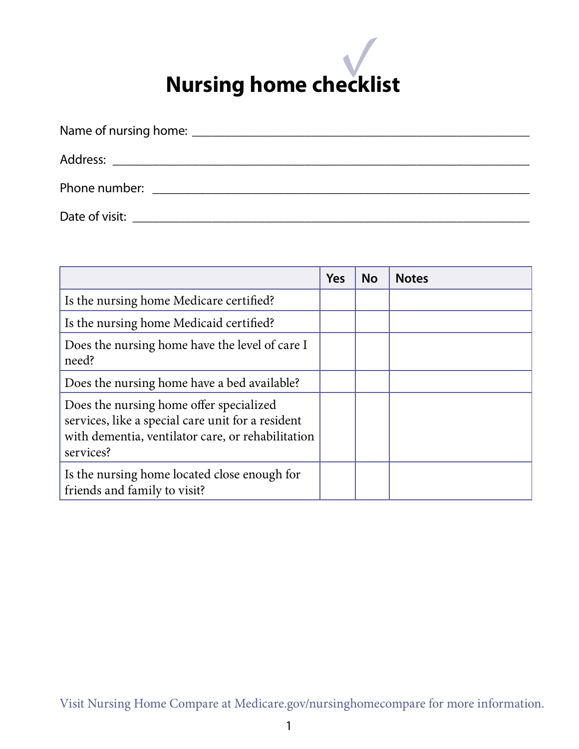| <b>Phone number:</b> The contract of the contract of the contract of the contract of the contract of the contract of the contract of the contract of the contract of the contract of the contract of the contract of the contract o |
|-------------------------------------------------------------------------------------------------------------------------------------------------------------------------------------------------------------------------------------|
| Date of visit: and a series of visity and a series of visity and a series of visity and a series of visity and                                                                                                                      |
|                                                                                                                                                                                                                                     |

|                                                                                                                                                                | Yes | <b>No</b> | <b>Notes</b> |
|----------------------------------------------------------------------------------------------------------------------------------------------------------------|-----|-----------|--------------|
| Is the nursing home Medicare certified?                                                                                                                        |     |           |              |
| Is the nursing home Medicaid certified?                                                                                                                        |     |           |              |
| Does the nursing home have the level of care I<br>need?                                                                                                        |     |           |              |
| Does the nursing home have a bed available?                                                                                                                    |     |           |              |
| Does the nursing home offer specialized<br>services, like a special care unit for a resident<br>with dementia, ventilator care, or rehabilitation<br>services? |     |           |              |
| Is the nursing home located close enough for<br>friends and family to visit?                                                                                   |     |           |              |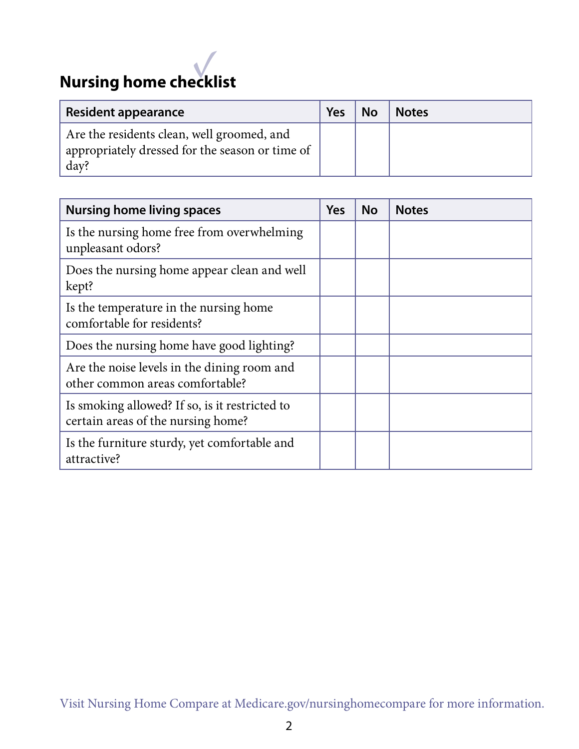| <b>Resident appearance</b>                                                                            | Yes | <b>No</b> | <b>Notes</b> |
|-------------------------------------------------------------------------------------------------------|-----|-----------|--------------|
| Are the residents clean, well groomed, and<br>appropriately dressed for the season or time of<br>day? |     |           |              |

| <b>Nursing home living spaces</b>                                                    | <b>Yes</b> | <b>No</b> | <b>Notes</b> |
|--------------------------------------------------------------------------------------|------------|-----------|--------------|
| Is the nursing home free from overwhelming<br>unpleasant odors?                      |            |           |              |
| Does the nursing home appear clean and well<br>kept?                                 |            |           |              |
| Is the temperature in the nursing home<br>comfortable for residents?                 |            |           |              |
| Does the nursing home have good lighting?                                            |            |           |              |
| Are the noise levels in the dining room and<br>other common areas comfortable?       |            |           |              |
| Is smoking allowed? If so, is it restricted to<br>certain areas of the nursing home? |            |           |              |
| Is the furniture sturdy, yet comfortable and<br>attractive?                          |            |           |              |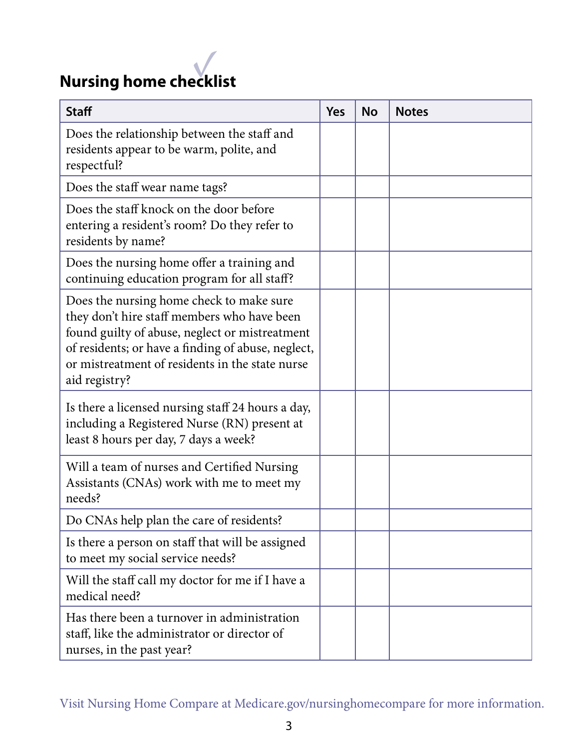| <b>Staff</b>                                                                                                                                                                                                                                                        | Yes | <b>No</b> | <b>Notes</b> |
|---------------------------------------------------------------------------------------------------------------------------------------------------------------------------------------------------------------------------------------------------------------------|-----|-----------|--------------|
| Does the relationship between the staff and<br>residents appear to be warm, polite, and<br>respectful?                                                                                                                                                              |     |           |              |
| Does the staff wear name tags?                                                                                                                                                                                                                                      |     |           |              |
| Does the staff knock on the door before<br>entering a resident's room? Do they refer to<br>residents by name?                                                                                                                                                       |     |           |              |
| Does the nursing home offer a training and<br>continuing education program for all staff?                                                                                                                                                                           |     |           |              |
| Does the nursing home check to make sure<br>they don't hire staff members who have been<br>found guilty of abuse, neglect or mistreatment<br>of residents; or have a finding of abuse, neglect,<br>or mistreatment of residents in the state nurse<br>aid registry? |     |           |              |
| Is there a licensed nursing staff 24 hours a day,<br>including a Registered Nurse (RN) present at<br>least 8 hours per day, 7 days a week?                                                                                                                          |     |           |              |
| Will a team of nurses and Certified Nursing<br>Assistants (CNAs) work with me to meet my<br>needs?                                                                                                                                                                  |     |           |              |
| Do CNAs help plan the care of residents?                                                                                                                                                                                                                            |     |           |              |
| Is there a person on staff that will be assigned<br>to meet my social service needs?                                                                                                                                                                                |     |           |              |
| Will the staff call my doctor for me if I have a<br>medical need?                                                                                                                                                                                                   |     |           |              |
| Has there been a turnover in administration<br>staff, like the administrator or director of<br>nurses, in the past year?                                                                                                                                            |     |           |              |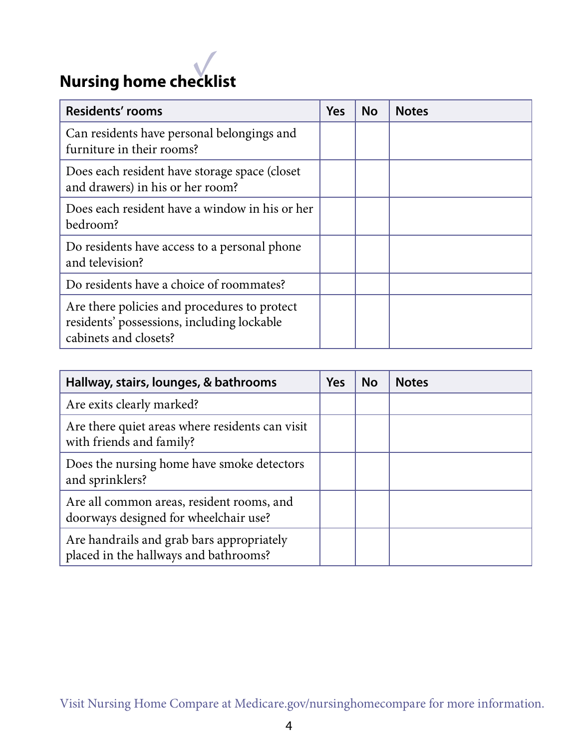| <b>Residents' rooms</b>                                                                                             | <b>Yes</b> | <b>No</b> | <b>Notes</b> |
|---------------------------------------------------------------------------------------------------------------------|------------|-----------|--------------|
| Can residents have personal belongings and<br>furniture in their rooms?                                             |            |           |              |
| Does each resident have storage space (closet)<br>and drawers) in his or her room?                                  |            |           |              |
| Does each resident have a window in his or her<br>bedroom?                                                          |            |           |              |
| Do residents have access to a personal phone<br>and television?                                                     |            |           |              |
| Do residents have a choice of roommates?                                                                            |            |           |              |
| Are there policies and procedures to protect<br>residents' possessions, including lockable<br>cabinets and closets? |            |           |              |

| Hallway, stairs, lounges, & bathrooms                                              | Yes | <b>No</b> | <b>Notes</b> |
|------------------------------------------------------------------------------------|-----|-----------|--------------|
| Are exits clearly marked?                                                          |     |           |              |
| Are there quiet areas where residents can visit<br>with friends and family?        |     |           |              |
| Does the nursing home have smoke detectors<br>and sprinklers?                      |     |           |              |
| Are all common areas, resident rooms, and<br>doorways designed for wheelchair use? |     |           |              |
| Are handrails and grab bars appropriately<br>placed in the hallways and bathrooms? |     |           |              |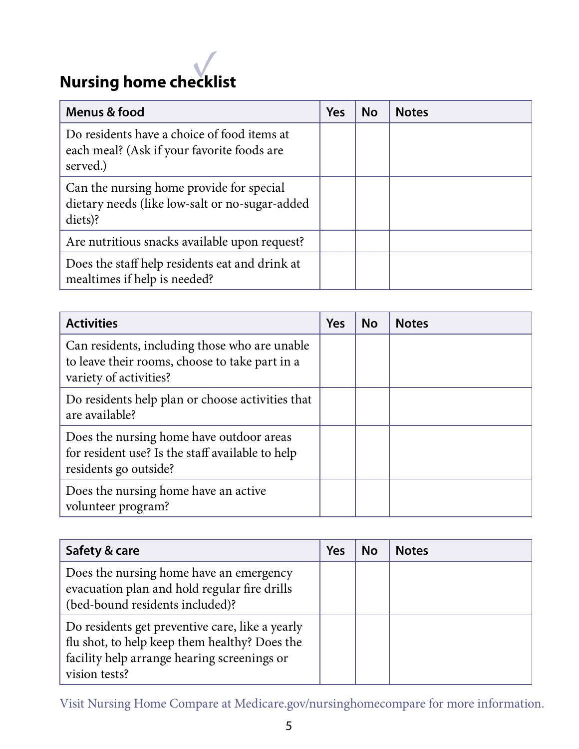

| Menus & food                                                                                          | <b>Yes</b> | <b>No</b> | <b>Notes</b> |
|-------------------------------------------------------------------------------------------------------|------------|-----------|--------------|
| Do residents have a choice of food items at<br>each meal? (Ask if your favorite foods are<br>served.) |            |           |              |
| Can the nursing home provide for special<br>dietary needs (like low-salt or no-sugar-added<br>diets)? |            |           |              |
| Are nutritious snacks available upon request?                                                         |            |           |              |
| Does the staff help residents eat and drink at<br>mealtimes if help is needed?                        |            |           |              |

| <b>Activities</b>                                                                                                         | <b>Yes</b> | <b>No</b> | <b>Notes</b> |
|---------------------------------------------------------------------------------------------------------------------------|------------|-----------|--------------|
| Can residents, including those who are unable<br>to leave their rooms, choose to take part in a<br>variety of activities? |            |           |              |
| Do residents help plan or choose activities that<br>are available?                                                        |            |           |              |
| Does the nursing home have outdoor areas<br>for resident use? Is the staff available to help<br>residents go outside?     |            |           |              |
| Does the nursing home have an active<br>volunteer program?                                                                |            |           |              |

| Safety & care                                                                                                                                                    | Yes | <b>No</b> | <b>Notes</b> |
|------------------------------------------------------------------------------------------------------------------------------------------------------------------|-----|-----------|--------------|
| Does the nursing home have an emergency<br>evacuation plan and hold regular fire drills<br>(bed-bound residents included)?                                       |     |           |              |
| Do residents get preventive care, like a yearly<br>flu shot, to help keep them healthy? Does the<br>facility help arrange hearing screenings or<br>vision tests? |     |           |              |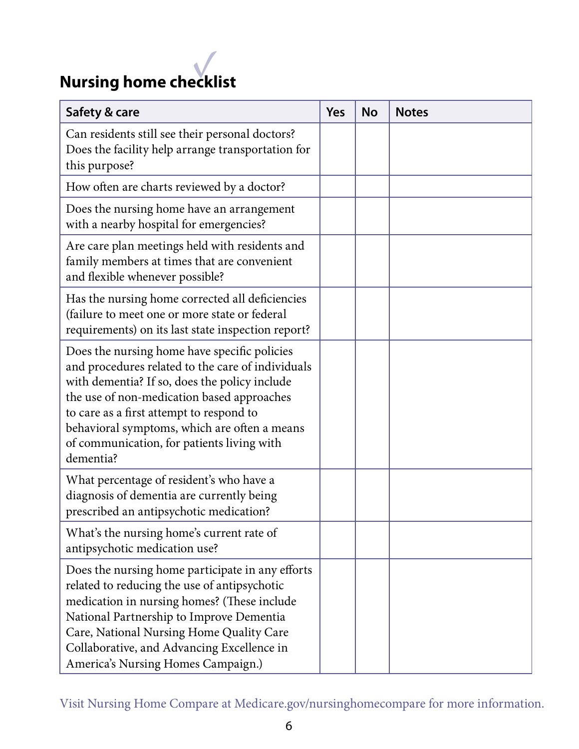

| Safety & care                                                                                                                                                                                                                                                                                                                                           | <b>Yes</b> | <b>No</b> | <b>Notes</b> |
|---------------------------------------------------------------------------------------------------------------------------------------------------------------------------------------------------------------------------------------------------------------------------------------------------------------------------------------------------------|------------|-----------|--------------|
| Can residents still see their personal doctors?<br>Does the facility help arrange transportation for<br>this purpose?                                                                                                                                                                                                                                   |            |           |              |
| How often are charts reviewed by a doctor?                                                                                                                                                                                                                                                                                                              |            |           |              |
| Does the nursing home have an arrangement<br>with a nearby hospital for emergencies?                                                                                                                                                                                                                                                                    |            |           |              |
| Are care plan meetings held with residents and<br>family members at times that are convenient<br>and flexible whenever possible?                                                                                                                                                                                                                        |            |           |              |
| Has the nursing home corrected all deficiencies<br>(failure to meet one or more state or federal<br>requirements) on its last state inspection report?                                                                                                                                                                                                  |            |           |              |
| Does the nursing home have specific policies<br>and procedures related to the care of individuals<br>with dementia? If so, does the policy include<br>the use of non-medication based approaches<br>to care as a first attempt to respond to<br>behavioral symptoms, which are often a means<br>of communication, for patients living with<br>dementia? |            |           |              |
| What percentage of resident's who have a<br>diagnosis of dementia are currently being<br>prescribed an antipsychotic medication?                                                                                                                                                                                                                        |            |           |              |
| What's the nursing home's current rate of<br>antipsychotic medication use?                                                                                                                                                                                                                                                                              |            |           |              |
| Does the nursing home participate in any efforts<br>related to reducing the use of antipsychotic<br>medication in nursing homes? (These include<br>National Partnership to Improve Dementia<br>Care, National Nursing Home Quality Care<br>Collaborative, and Advancing Excellence in<br>America's Nursing Homes Campaign.)                             |            |           |              |